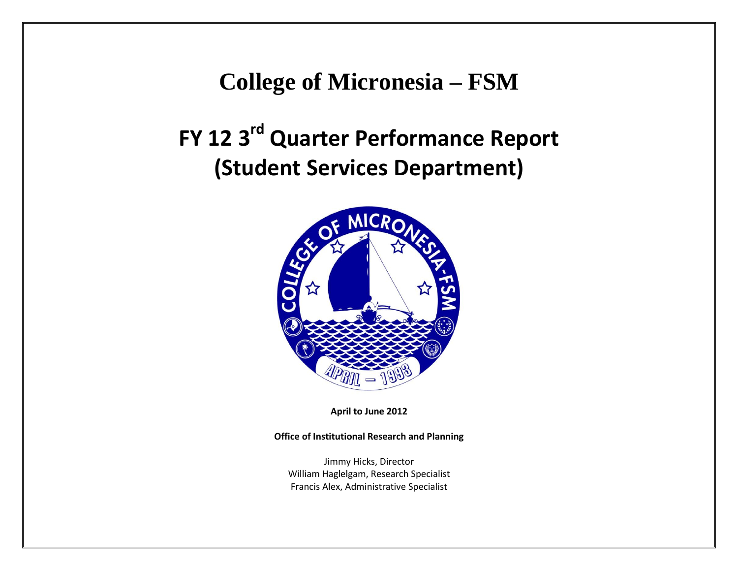## **College of Micronesia – FSM**

# **FY 12 3rd Quarter Performance Report (Student Services Department)**



**April to June 2012**

#### **Office of Institutional Research and Planning**

Jimmy Hicks, Director William Haglelgam, Research Specialist Francis Alex, Administrative Specialist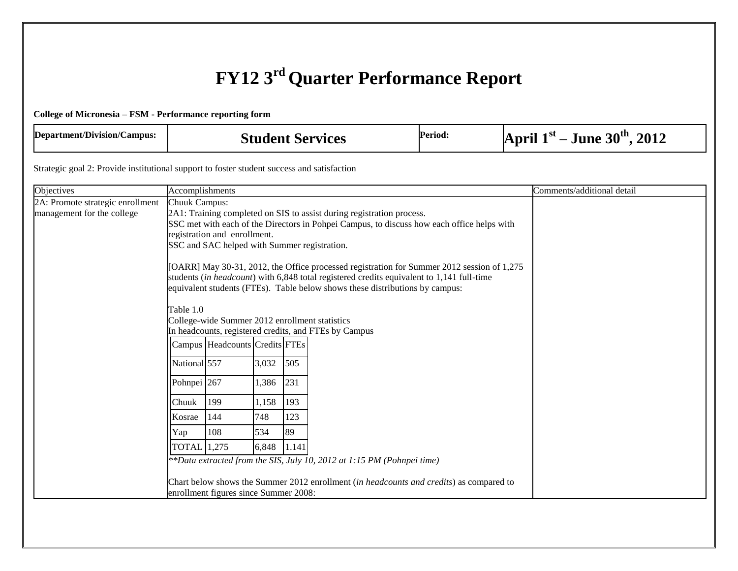### **FY12 3rd Quarter Performance Report**

#### **College of Micronesia – FSM - Performance reporting form**

| Department/Division/Campus: | <b>Student Services</b> | <b>Period:</b> | $-$ June $30th$<br>April $1st$<br>.2012 |
|-----------------------------|-------------------------|----------------|-----------------------------------------|
|-----------------------------|-------------------------|----------------|-----------------------------------------|

Strategic goal 2: Provide institutional support to foster student success and satisfaction

| Objectives                       | Accomplishments        |                                                |       |       |                                                                                                                                                                                                                                                                         | Comments/additional detail |
|----------------------------------|------------------------|------------------------------------------------|-------|-------|-------------------------------------------------------------------------------------------------------------------------------------------------------------------------------------------------------------------------------------------------------------------------|----------------------------|
| 2A: Promote strategic enrollment | <b>Chuuk Campus:</b>   |                                                |       |       |                                                                                                                                                                                                                                                                         |                            |
| management for the college       |                        |                                                |       |       | 2A1: Training completed on SIS to assist during registration process.                                                                                                                                                                                                   |                            |
|                                  |                        |                                                |       |       | SSC met with each of the Directors in Pohpei Campus, to discuss how each office helps with                                                                                                                                                                              |                            |
|                                  |                        | registration and enrollment.                   |       |       |                                                                                                                                                                                                                                                                         |                            |
|                                  |                        | SSC and SAC helped with Summer registration.   |       |       |                                                                                                                                                                                                                                                                         |                            |
|                                  | Table 1.0              |                                                |       |       | [OARR] May 30-31, 2012, the Office processed registration for Summer 2012 session of 1,275<br>students (in headcount) with 6,848 total registered credits equivalent to 1,141 full-time<br>equivalent students (FTEs). Table below shows these distributions by campus: |                            |
|                                  |                        | College-wide Summer 2012 enrollment statistics |       |       | In headcounts, registered credits, and FTEs by Campus                                                                                                                                                                                                                   |                            |
|                                  |                        |                                                |       |       |                                                                                                                                                                                                                                                                         |                            |
|                                  |                        | Campus Headcounts Credits FTEs                 |       |       |                                                                                                                                                                                                                                                                         |                            |
|                                  | National 557           |                                                | 3,032 | 505   |                                                                                                                                                                                                                                                                         |                            |
|                                  | Pohnpei <sup>267</sup> |                                                | 1,386 | 231   |                                                                                                                                                                                                                                                                         |                            |
|                                  | Chuuk                  | 199                                            | 1,158 | 193   |                                                                                                                                                                                                                                                                         |                            |
|                                  | Kosrae                 | 144                                            | 748   | 123   |                                                                                                                                                                                                                                                                         |                            |
|                                  | Yap                    | 108                                            | 534   | 89    |                                                                                                                                                                                                                                                                         |                            |
|                                  | <b>TOTAL</b> 1,275     |                                                | 6,848 | 1.141 |                                                                                                                                                                                                                                                                         |                            |
|                                  |                        |                                                |       |       | **Data extracted from the SIS, July 10, 2012 at 1:15 PM (Pohnpei time)                                                                                                                                                                                                  |                            |
|                                  |                        |                                                |       |       | Chart below shows the Summer 2012 enrollment (in headcounts and credits) as compared to                                                                                                                                                                                 |                            |
|                                  |                        | enrollment figures since Summer 2008:          |       |       |                                                                                                                                                                                                                                                                         |                            |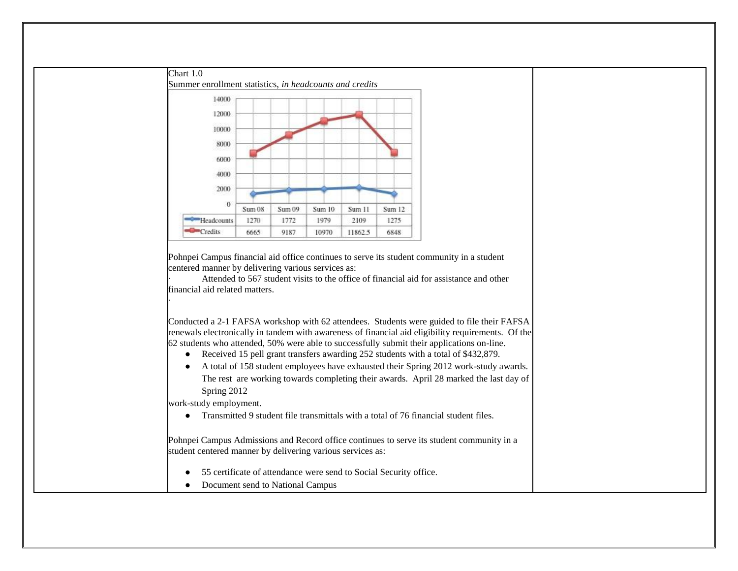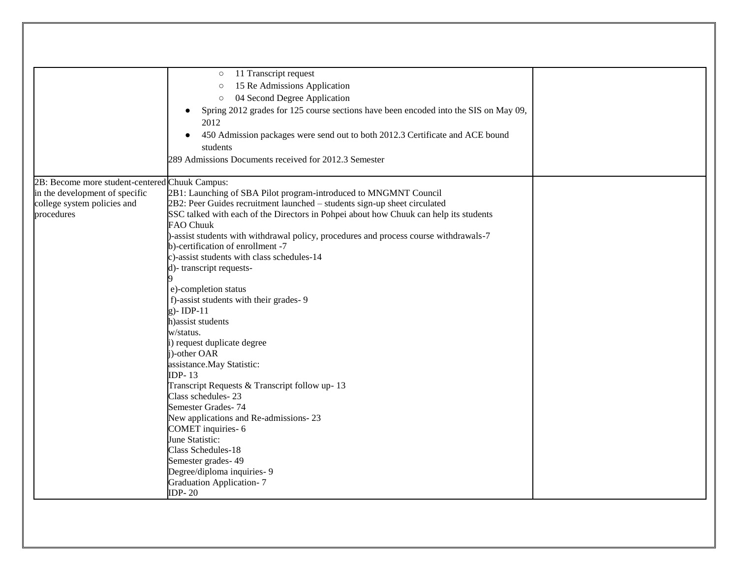| 11 Transcript request<br>$\circ$<br>15 Re Admissions Application<br>$\circ$<br>04 Second Degree Application<br>$\circ$<br>Spring 2012 grades for 125 course sections have been encoded into the SIS on May 09,<br>2012<br>450 Admission packages were send out to both 2012.3 Certificate and ACE bound<br>students<br>289 Admissions Documents received for 2012.3 Semester<br>2B: Become more student-centered Chuuk Campus:<br>in the development of specific<br>2B1: Launching of SBA Pilot program-introduced to MNGMNT Council<br>2B2: Peer Guides recruitment launched - students sign-up sheet circulated<br>college system policies and |
|--------------------------------------------------------------------------------------------------------------------------------------------------------------------------------------------------------------------------------------------------------------------------------------------------------------------------------------------------------------------------------------------------------------------------------------------------------------------------------------------------------------------------------------------------------------------------------------------------------------------------------------------------|
|                                                                                                                                                                                                                                                                                                                                                                                                                                                                                                                                                                                                                                                  |
|                                                                                                                                                                                                                                                                                                                                                                                                                                                                                                                                                                                                                                                  |
|                                                                                                                                                                                                                                                                                                                                                                                                                                                                                                                                                                                                                                                  |
|                                                                                                                                                                                                                                                                                                                                                                                                                                                                                                                                                                                                                                                  |
|                                                                                                                                                                                                                                                                                                                                                                                                                                                                                                                                                                                                                                                  |
|                                                                                                                                                                                                                                                                                                                                                                                                                                                                                                                                                                                                                                                  |
|                                                                                                                                                                                                                                                                                                                                                                                                                                                                                                                                                                                                                                                  |
|                                                                                                                                                                                                                                                                                                                                                                                                                                                                                                                                                                                                                                                  |
|                                                                                                                                                                                                                                                                                                                                                                                                                                                                                                                                                                                                                                                  |
|                                                                                                                                                                                                                                                                                                                                                                                                                                                                                                                                                                                                                                                  |
|                                                                                                                                                                                                                                                                                                                                                                                                                                                                                                                                                                                                                                                  |
|                                                                                                                                                                                                                                                                                                                                                                                                                                                                                                                                                                                                                                                  |
| SSC talked with each of the Directors in Pohpei about how Chuuk can help its students<br>procedures                                                                                                                                                                                                                                                                                                                                                                                                                                                                                                                                              |
| <b>FAO Chuuk</b>                                                                                                                                                                                                                                                                                                                                                                                                                                                                                                                                                                                                                                 |
| )-assist students with withdrawal policy, procedures and process course withdrawals-7                                                                                                                                                                                                                                                                                                                                                                                                                                                                                                                                                            |
| b)-certification of enrollment -7                                                                                                                                                                                                                                                                                                                                                                                                                                                                                                                                                                                                                |
| c)-assist students with class schedules-14                                                                                                                                                                                                                                                                                                                                                                                                                                                                                                                                                                                                       |
| d)-transcript requests-                                                                                                                                                                                                                                                                                                                                                                                                                                                                                                                                                                                                                          |
|                                                                                                                                                                                                                                                                                                                                                                                                                                                                                                                                                                                                                                                  |
| e)-completion status                                                                                                                                                                                                                                                                                                                                                                                                                                                                                                                                                                                                                             |
| f)-assist students with their grades- 9                                                                                                                                                                                                                                                                                                                                                                                                                                                                                                                                                                                                          |
| $g$ )-IDP-11                                                                                                                                                                                                                                                                                                                                                                                                                                                                                                                                                                                                                                     |
| h) assist students                                                                                                                                                                                                                                                                                                                                                                                                                                                                                                                                                                                                                               |
| w/status.                                                                                                                                                                                                                                                                                                                                                                                                                                                                                                                                                                                                                                        |
| i) request duplicate degree                                                                                                                                                                                                                                                                                                                                                                                                                                                                                                                                                                                                                      |
| j)-other OAR                                                                                                                                                                                                                                                                                                                                                                                                                                                                                                                                                                                                                                     |
| assistance. May Statistic:                                                                                                                                                                                                                                                                                                                                                                                                                                                                                                                                                                                                                       |
| <b>IDP-13</b>                                                                                                                                                                                                                                                                                                                                                                                                                                                                                                                                                                                                                                    |
| Transcript Requests & Transcript follow up-13<br>Class schedules-23                                                                                                                                                                                                                                                                                                                                                                                                                                                                                                                                                                              |
| Semester Grades-74                                                                                                                                                                                                                                                                                                                                                                                                                                                                                                                                                                                                                               |
| New applications and Re-admissions-23                                                                                                                                                                                                                                                                                                                                                                                                                                                                                                                                                                                                            |
| COMET inquiries-6                                                                                                                                                                                                                                                                                                                                                                                                                                                                                                                                                                                                                                |
| June Statistic:                                                                                                                                                                                                                                                                                                                                                                                                                                                                                                                                                                                                                                  |
| Class Schedules-18                                                                                                                                                                                                                                                                                                                                                                                                                                                                                                                                                                                                                               |
| Semester grades-49                                                                                                                                                                                                                                                                                                                                                                                                                                                                                                                                                                                                                               |
| Degree/diploma inquiries- 9                                                                                                                                                                                                                                                                                                                                                                                                                                                                                                                                                                                                                      |
| <b>Graduation Application-7</b>                                                                                                                                                                                                                                                                                                                                                                                                                                                                                                                                                                                                                  |
| <b>IDP-20</b>                                                                                                                                                                                                                                                                                                                                                                                                                                                                                                                                                                                                                                    |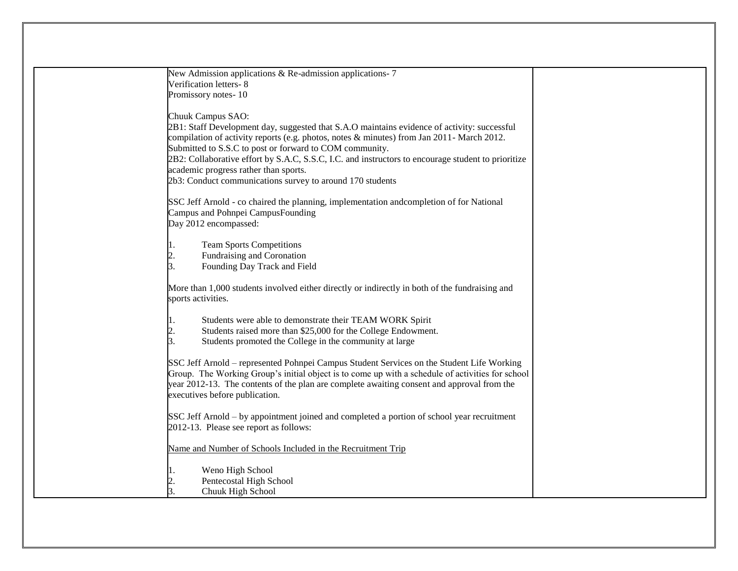| New Admission applications & Re-admission applications-7                                                                     |  |
|------------------------------------------------------------------------------------------------------------------------------|--|
| Verification letters-8                                                                                                       |  |
| Promissory notes-10                                                                                                          |  |
|                                                                                                                              |  |
| Chuuk Campus SAO:                                                                                                            |  |
| 2B1: Staff Development day, suggested that S.A.O maintains evidence of activity: successful                                  |  |
| compilation of activity reports (e.g. photos, notes $\&$ minutes) from Jan 2011- March 2012.                                 |  |
| Submitted to S.S.C to post or forward to COM community.                                                                      |  |
| 2B2: Collaborative effort by S.A.C, S.S.C, I.C. and instructors to encourage student to prioritize                           |  |
| academic progress rather than sports.                                                                                        |  |
| 2b3: Conduct communications survey to around 170 students                                                                    |  |
|                                                                                                                              |  |
| SSC Jeff Arnold - co chaired the planning, implementation and completion of for National                                     |  |
| Campus and Pohnpei CampusFounding                                                                                            |  |
| Day 2012 encompassed:                                                                                                        |  |
| <b>Team Sports Competitions</b>                                                                                              |  |
| Fundraising and Coronation                                                                                                   |  |
| 3.<br>Founding Day Track and Field                                                                                           |  |
|                                                                                                                              |  |
| More than 1,000 students involved either directly or indirectly in both of the fundraising and                               |  |
| sports activities.                                                                                                           |  |
|                                                                                                                              |  |
| Students were able to demonstrate their TEAM WORK Spirit                                                                     |  |
| Students raised more than \$25,000 for the College Endowment.                                                                |  |
| Students promoted the College in the community at large<br>3.                                                                |  |
|                                                                                                                              |  |
| SSC Jeff Arnold – represented Pohnpei Campus Student Services on the Student Life Working                                    |  |
| Group. The Working Group's initial object is to come up with a schedule of activities for school                             |  |
| year 2012-13. The contents of the plan are complete awaiting consent and approval from the<br>executives before publication. |  |
|                                                                                                                              |  |
| SSC Jeff Arnold – by appointment joined and completed a portion of school year recruitment                                   |  |
| 2012-13. Please see report as follows:                                                                                       |  |
|                                                                                                                              |  |
| Name and Number of Schools Included in the Recruitment Trip                                                                  |  |
|                                                                                                                              |  |
| Weno High School                                                                                                             |  |
| Pentecostal High School                                                                                                      |  |
| Chuuk High School                                                                                                            |  |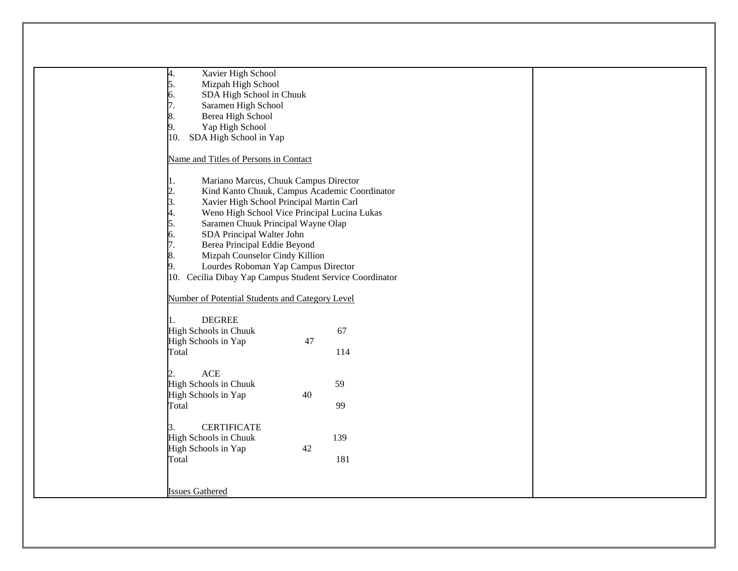| Xavier High School<br>4.                                 |  |
|----------------------------------------------------------|--|
| Mizpah High School<br>5.                                 |  |
| SDA High School in Chuuk<br>б.                           |  |
| Saramen High School                                      |  |
| Berea High School                                        |  |
| Yap High School<br>9.                                    |  |
| SDA High School in Yap<br>10.                            |  |
| Name and Titles of Persons in Contact                    |  |
| Mariano Marcus, Chuuk Campus Director                    |  |
| Kind Kanto Chuuk, Campus Academic Coordinator            |  |
| 2.<br>Xavier High School Principal Martin Carl<br>3.     |  |
| Weno High School Vice Principal Lucina Lukas             |  |
| 4.<br>Saramen Chuuk Principal Wayne Olap<br>5.           |  |
| SDA Principal Walter John<br>6.                          |  |
| Berea Principal Eddie Beyond<br>7.                       |  |
| Mizpah Counselor Cindy Killion<br>8.                     |  |
| Lourdes Roboman Yap Campus Director                      |  |
| 10. Cecilia Dibay Yap Campus Student Service Coordinator |  |
|                                                          |  |
| Number of Potential Students and Category Level          |  |
|                                                          |  |
| <b>DEGREE</b>                                            |  |
| 67<br>High Schools in Chuuk                              |  |
| 47<br>High Schools in Yap                                |  |
| Total<br>114                                             |  |
|                                                          |  |
| <b>ACE</b>                                               |  |
| High Schools in Chuuk<br>59                              |  |
| 40<br>High Schools in Yap                                |  |
| Total<br>99                                              |  |
|                                                          |  |
| <b>CERTIFICATE</b><br>3.                                 |  |
| 139<br>High Schools in Chuuk                             |  |
| High Schools in Yap<br>42                                |  |
| Total<br>181                                             |  |
|                                                          |  |
|                                                          |  |
| <b>Issues Gathered</b>                                   |  |
|                                                          |  |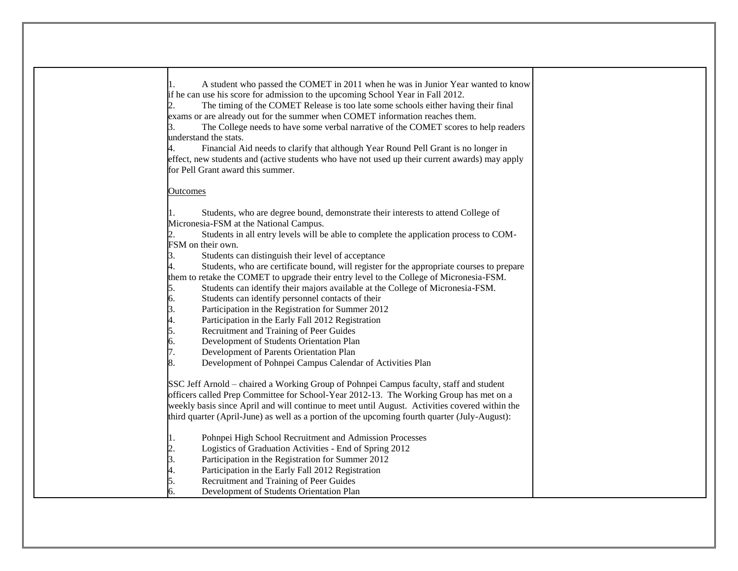| ı.<br>3.        | A student who passed the COMET in 2011 when he was in Junior Year wanted to know<br>if he can use his score for admission to the upcoming School Year in Fall 2012.<br>The timing of the COMET Release is too late some schools either having their final<br>exams or are already out for the summer when COMET information reaches them.<br>The College needs to have some verbal narrative of the COMET scores to help readers<br>understand the stats.<br>Financial Aid needs to clarify that although Year Round Pell Grant is no longer in<br>effect, new students and (active students who have not used up their current awards) may apply |  |
|-----------------|---------------------------------------------------------------------------------------------------------------------------------------------------------------------------------------------------------------------------------------------------------------------------------------------------------------------------------------------------------------------------------------------------------------------------------------------------------------------------------------------------------------------------------------------------------------------------------------------------------------------------------------------------|--|
|                 | for Pell Grant award this summer.                                                                                                                                                                                                                                                                                                                                                                                                                                                                                                                                                                                                                 |  |
| <u>Outcomes</u> |                                                                                                                                                                                                                                                                                                                                                                                                                                                                                                                                                                                                                                                   |  |
|                 |                                                                                                                                                                                                                                                                                                                                                                                                                                                                                                                                                                                                                                                   |  |
|                 | Students, who are degree bound, demonstrate their interests to attend College of                                                                                                                                                                                                                                                                                                                                                                                                                                                                                                                                                                  |  |
|                 | Micronesia-FSM at the National Campus.                                                                                                                                                                                                                                                                                                                                                                                                                                                                                                                                                                                                            |  |
|                 | Students in all entry levels will be able to complete the application process to COM-                                                                                                                                                                                                                                                                                                                                                                                                                                                                                                                                                             |  |
|                 | FSM on their own.                                                                                                                                                                                                                                                                                                                                                                                                                                                                                                                                                                                                                                 |  |
| 3.              | Students can distinguish their level of acceptance                                                                                                                                                                                                                                                                                                                                                                                                                                                                                                                                                                                                |  |
|                 | Students, who are certificate bound, will register for the appropriate courses to prepare                                                                                                                                                                                                                                                                                                                                                                                                                                                                                                                                                         |  |
|                 | them to retake the COMET to upgrade their entry level to the College of Micronesia-FSM.                                                                                                                                                                                                                                                                                                                                                                                                                                                                                                                                                           |  |
| 5.              | Students can identify their majors available at the College of Micronesia-FSM.                                                                                                                                                                                                                                                                                                                                                                                                                                                                                                                                                                    |  |
| 6.              | Students can identify personnel contacts of their                                                                                                                                                                                                                                                                                                                                                                                                                                                                                                                                                                                                 |  |
| $\beta$ .       | Participation in the Registration for Summer 2012                                                                                                                                                                                                                                                                                                                                                                                                                                                                                                                                                                                                 |  |
| 4.              | Participation in the Early Fall 2012 Registration                                                                                                                                                                                                                                                                                                                                                                                                                                                                                                                                                                                                 |  |
| 5.              | Recruitment and Training of Peer Guides                                                                                                                                                                                                                                                                                                                                                                                                                                                                                                                                                                                                           |  |
| 6.              | Development of Students Orientation Plan                                                                                                                                                                                                                                                                                                                                                                                                                                                                                                                                                                                                          |  |
| 7.              | Development of Parents Orientation Plan                                                                                                                                                                                                                                                                                                                                                                                                                                                                                                                                                                                                           |  |
| 8.              | Development of Pohnpei Campus Calendar of Activities Plan                                                                                                                                                                                                                                                                                                                                                                                                                                                                                                                                                                                         |  |
|                 | SSC Jeff Arnold – chaired a Working Group of Pohnpei Campus faculty, staff and student                                                                                                                                                                                                                                                                                                                                                                                                                                                                                                                                                            |  |
|                 | officers called Prep Committee for School-Year 2012-13. The Working Group has met on a                                                                                                                                                                                                                                                                                                                                                                                                                                                                                                                                                            |  |
|                 | weekly basis since April and will continue to meet until August. Activities covered within the                                                                                                                                                                                                                                                                                                                                                                                                                                                                                                                                                    |  |
|                 | third quarter (April-June) as well as a portion of the upcoming fourth quarter (July-August):                                                                                                                                                                                                                                                                                                                                                                                                                                                                                                                                                     |  |
|                 |                                                                                                                                                                                                                                                                                                                                                                                                                                                                                                                                                                                                                                                   |  |
| μ.              | Pohnpei High School Recruitment and Admission Processes                                                                                                                                                                                                                                                                                                                                                                                                                                                                                                                                                                                           |  |
| 2.              | Logistics of Graduation Activities - End of Spring 2012                                                                                                                                                                                                                                                                                                                                                                                                                                                                                                                                                                                           |  |
| 3.              | Participation in the Registration for Summer 2012                                                                                                                                                                                                                                                                                                                                                                                                                                                                                                                                                                                                 |  |
| 4.              | Participation in the Early Fall 2012 Registration                                                                                                                                                                                                                                                                                                                                                                                                                                                                                                                                                                                                 |  |
| 5.              | Recruitment and Training of Peer Guides                                                                                                                                                                                                                                                                                                                                                                                                                                                                                                                                                                                                           |  |
| 6.              | Development of Students Orientation Plan                                                                                                                                                                                                                                                                                                                                                                                                                                                                                                                                                                                                          |  |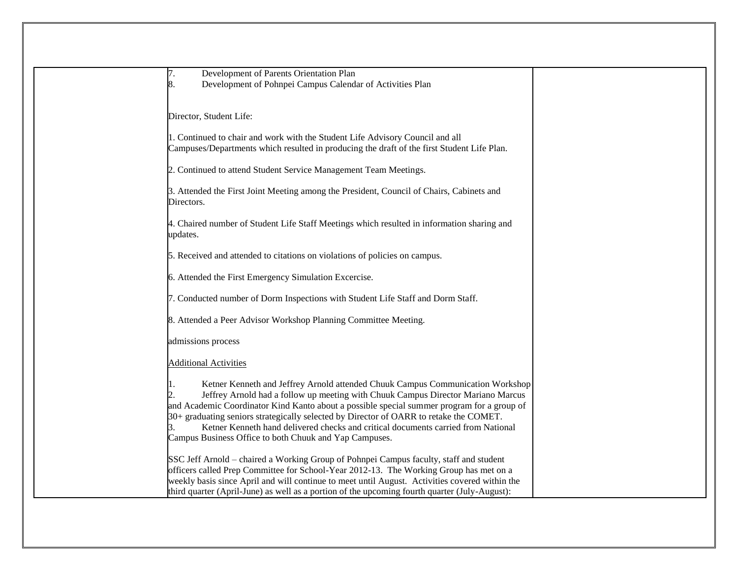| Development of Parents Orientation Plan                                                        |  |
|------------------------------------------------------------------------------------------------|--|
| Development of Pohnpei Campus Calendar of Activities Plan<br>8.                                |  |
|                                                                                                |  |
|                                                                                                |  |
| Director, Student Life:                                                                        |  |
|                                                                                                |  |
| 1. Continued to chair and work with the Student Life Advisory Council and all                  |  |
| Campuses/Departments which resulted in producing the draft of the first Student Life Plan.     |  |
|                                                                                                |  |
| 2. Continued to attend Student Service Management Team Meetings.                               |  |
| 3. Attended the First Joint Meeting among the President, Council of Chairs, Cabinets and       |  |
| Directors.                                                                                     |  |
|                                                                                                |  |
| 4. Chaired number of Student Life Staff Meetings which resulted in information sharing and     |  |
| updates.                                                                                       |  |
|                                                                                                |  |
| 5. Received and attended to citations on violations of policies on campus.                     |  |
|                                                                                                |  |
| 6. Attended the First Emergency Simulation Excercise.                                          |  |
|                                                                                                |  |
| 7. Conducted number of Dorm Inspections with Student Life Staff and Dorm Staff.                |  |
|                                                                                                |  |
| 8. Attended a Peer Advisor Workshop Planning Committee Meeting.                                |  |
|                                                                                                |  |
| admissions process                                                                             |  |
|                                                                                                |  |
| <b>Additional Activities</b>                                                                   |  |
|                                                                                                |  |
| Ketner Kenneth and Jeffrey Arnold attended Chuuk Campus Communication Workshop                 |  |
| Jeffrey Arnold had a follow up meeting with Chuuk Campus Director Mariano Marcus               |  |
| and Academic Coordinator Kind Kanto about a possible special summer program for a group of     |  |
| 30+ graduating seniors strategically selected by Director of OARR to retake the COMET.         |  |
| Ketner Kenneth hand delivered checks and critical documents carried from National              |  |
| Campus Business Office to both Chuuk and Yap Campuses.                                         |  |
|                                                                                                |  |
| SSC Jeff Arnold – chaired a Working Group of Pohnpei Campus faculty, staff and student         |  |
|                                                                                                |  |
| officers called Prep Committee for School-Year 2012-13. The Working Group has met on a         |  |
| weekly basis since April and will continue to meet until August. Activities covered within the |  |
| third quarter (April-June) as well as a portion of the upcoming fourth quarter (July-August):  |  |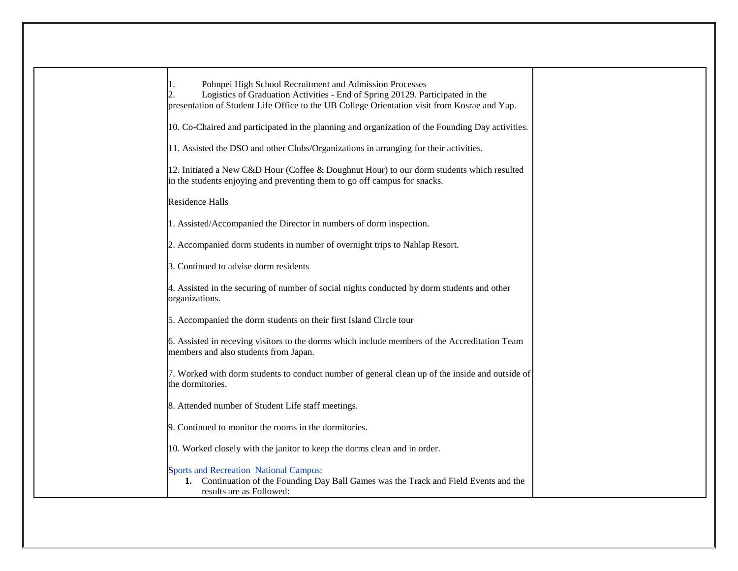| Pohnpei High School Recruitment and Admission Processes<br>Logistics of Graduation Activities - End of Spring 20129. Participated in the<br>presentation of Student Life Office to the UB College Orientation visit from Kosrae and Yap. |  |
|------------------------------------------------------------------------------------------------------------------------------------------------------------------------------------------------------------------------------------------|--|
| 10. Co-Chaired and participated in the planning and organization of the Founding Day activities.                                                                                                                                         |  |
| 11. Assisted the DSO and other Clubs/Organizations in arranging for their activities.                                                                                                                                                    |  |
| 12. Initiated a New C&D Hour (Coffee & Doughnut Hour) to our dorm students which resulted<br>in the students enjoying and preventing them to go off campus for snacks.                                                                   |  |
| <b>Residence Halls</b>                                                                                                                                                                                                                   |  |
| 1. Assisted/Accompanied the Director in numbers of dorm inspection.                                                                                                                                                                      |  |
| 2. Accompanied dorm students in number of overnight trips to Nahlap Resort.                                                                                                                                                              |  |
| 3. Continued to advise dorm residents                                                                                                                                                                                                    |  |
| 4. Assisted in the securing of number of social nights conducted by dorm students and other<br>organizations.                                                                                                                            |  |
| 5. Accompanied the dorm students on their first Island Circle tour                                                                                                                                                                       |  |
| 6. Assisted in receving visitors to the dorms which include members of the Accreditation Team<br>members and also students from Japan.                                                                                                   |  |
| 7. Worked with dorm students to conduct number of general clean up of the inside and outside of<br>the dormitories.                                                                                                                      |  |
| 8. Attended number of Student Life staff meetings.                                                                                                                                                                                       |  |
| 9. Continued to monitor the rooms in the dormitories.                                                                                                                                                                                    |  |
| 10. Worked closely with the janitor to keep the dorms clean and in order.                                                                                                                                                                |  |
| <b>Sports and Recreation National Campus:</b><br>1. Continuation of the Founding Day Ball Games was the Track and Field Events and the<br>results are as Followed:                                                                       |  |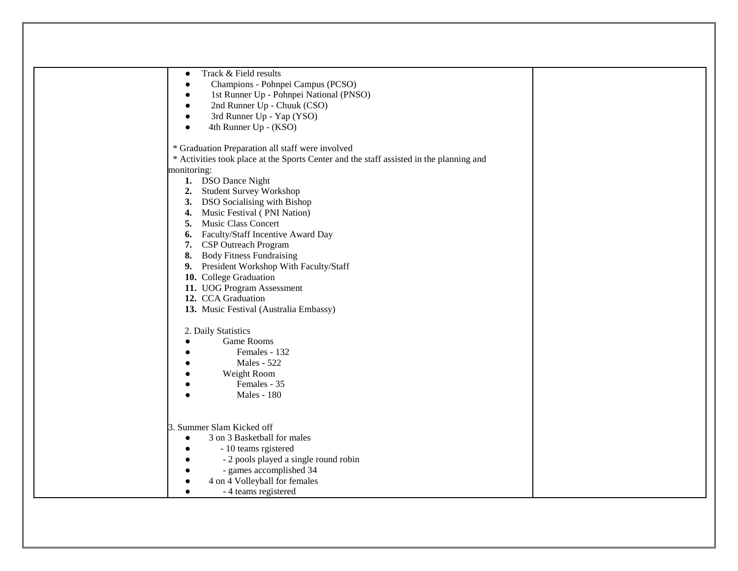| Track & Field results<br>$\bullet$                                                      |
|-----------------------------------------------------------------------------------------|
| Champions - Pohnpei Campus (PCSO)                                                       |
| 1st Runner Up - Pohnpei National (PNSO)                                                 |
| 2nd Runner Up - Chuuk (CSO)                                                             |
| 3rd Runner Up - Yap (YSO)                                                               |
| 4th Runner Up - (KSO)                                                                   |
|                                                                                         |
| * Graduation Preparation all staff were involved                                        |
| * Activities took place at the Sports Center and the staff assisted in the planning and |
| monitoring:                                                                             |
| 1. DSO Dance Night                                                                      |
| 2. Student Survey Workshop                                                              |
| 3. DSO Socialising with Bishop                                                          |
| Music Festival (PNI Nation)<br>4.                                                       |
| <b>Music Class Concert</b><br>5.                                                        |
| Faculty/Staff Incentive Award Day<br>6.                                                 |
| <b>CSP</b> Outreach Program<br>7.                                                       |
| <b>Body Fitness Fundraising</b><br>8.                                                   |
| President Workshop With Faculty/Staff<br>9.                                             |
| 10. College Graduation                                                                  |
| 11. UOG Program Assessment                                                              |
| 12. CCA Graduation                                                                      |
| 13. Music Festival (Australia Embassy)                                                  |
|                                                                                         |
| 2. Daily Statistics                                                                     |
| Game Rooms                                                                              |
| Females - 132                                                                           |
| Males - 522                                                                             |
| Weight Room                                                                             |
| Females - 35                                                                            |
| <b>Males - 180</b>                                                                      |
|                                                                                         |
|                                                                                         |
| 3. Summer Slam Kicked off                                                               |
| 3 on 3 Basketball for males<br>$\bullet$                                                |
| - 10 teams rgistered                                                                    |
| - 2 pools played a single round robin                                                   |
| - games accomplished 34                                                                 |
| 4 on 4 Volleyball for females                                                           |
| - 4 teams registered                                                                    |
|                                                                                         |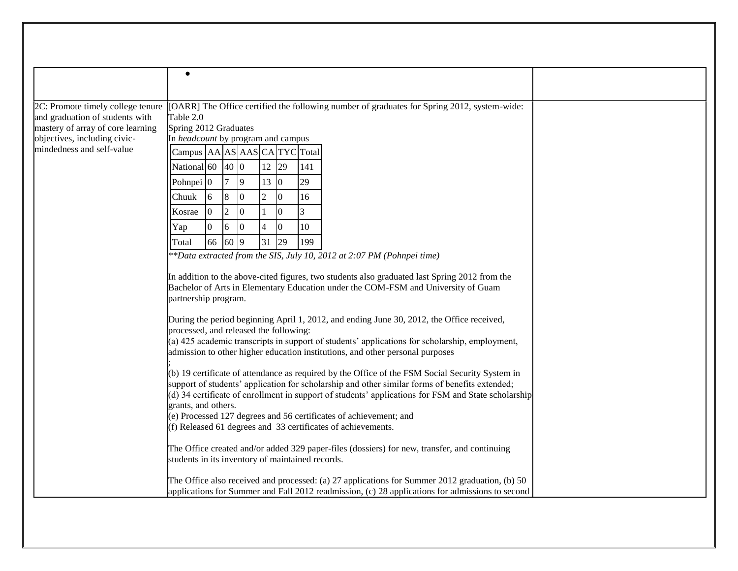|                                                           | $\bullet$                                        |                |                  |                |                |                  |     |                                                                                                                                                                                                       |
|-----------------------------------------------------------|--------------------------------------------------|----------------|------------------|----------------|----------------|------------------|-----|-------------------------------------------------------------------------------------------------------------------------------------------------------------------------------------------------------|
|                                                           |                                                  |                |                  |                |                |                  |     |                                                                                                                                                                                                       |
| 2C: Promote timely college tenure                         |                                                  |                |                  |                |                |                  |     | [OARR] The Office certified the following number of graduates for Spring 2012, system-wide:                                                                                                           |
| and graduation of students with                           | Table 2.0                                        |                |                  |                |                |                  |     |                                                                                                                                                                                                       |
| mastery of array of core learning                         | Spring 2012 Graduates                            |                |                  |                |                |                  |     |                                                                                                                                                                                                       |
| objectives, including civic-<br>mindedness and self-value | In headcount by program and campus               |                |                  |                |                |                  |     |                                                                                                                                                                                                       |
|                                                           | Campus AA AS AAS CA TYC Total                    |                |                  |                |                |                  |     |                                                                                                                                                                                                       |
|                                                           | National 60                                      |                | 40 0             |                | 12             | 29               | 141 |                                                                                                                                                                                                       |
|                                                           | Pohnpei <sup>0</sup>                             |                |                  | 9              | 13 0           |                  | 29  |                                                                                                                                                                                                       |
|                                                           | Chuuk                                            | 6              | $\boldsymbol{8}$ | $\overline{0}$ | $\overline{2}$ | $\boldsymbol{0}$ | 16  |                                                                                                                                                                                                       |
|                                                           | Kosrae                                           | $\Omega$       | $\overline{2}$   | $\overline{0}$ |                | $\boldsymbol{0}$ | 3   |                                                                                                                                                                                                       |
|                                                           | Yap                                              | $\overline{0}$ | 6                | $\overline{0}$ |                | $\boldsymbol{0}$ | 10  |                                                                                                                                                                                                       |
|                                                           | Total                                            | 66             | 60 9             |                | 31 29          |                  | 199 |                                                                                                                                                                                                       |
|                                                           |                                                  |                |                  |                |                |                  |     | $*$ Bata extracted from the SIS, July 10, 2012 at 2:07 PM (Pohnpei time)                                                                                                                              |
|                                                           |                                                  |                |                  |                |                |                  |     | In addition to the above-cited figures, two students also graduated last Spring 2012 from the                                                                                                         |
|                                                           | partnership program.                             |                |                  |                |                |                  |     | Bachelor of Arts in Elementary Education under the COM-FSM and University of Guam                                                                                                                     |
|                                                           |                                                  |                |                  |                |                |                  |     |                                                                                                                                                                                                       |
|                                                           | processed, and released the following:           |                |                  |                |                |                  |     | During the period beginning April 1, 2012, and ending June 30, 2012, the Office received,                                                                                                             |
|                                                           |                                                  |                |                  |                |                |                  |     | (a) 425 academic transcripts in support of students' applications for scholarship, employment,                                                                                                        |
|                                                           |                                                  |                |                  |                |                |                  |     | admission to other higher education institutions, and other personal purposes                                                                                                                         |
|                                                           |                                                  |                |                  |                |                |                  |     | (b) 19 certificate of attendance as required by the Office of the FSM Social Security System in                                                                                                       |
|                                                           |                                                  |                |                  |                |                |                  |     | support of students' application for scholarship and other similar forms of benefits extended;<br>(d) 34 certificate of enrollment in support of students' applications for FSM and State scholarship |
|                                                           | grants, and others.                              |                |                  |                |                |                  |     |                                                                                                                                                                                                       |
|                                                           |                                                  |                |                  |                |                |                  |     | (e) Processed 127 degrees and 56 certificates of achievement; and                                                                                                                                     |
|                                                           |                                                  |                |                  |                |                |                  |     | (f) Released 61 degrees and 33 certificates of achievements.                                                                                                                                          |
|                                                           | students in its inventory of maintained records. |                |                  |                |                |                  |     | The Office created and/or added 329 paper-files (dossiers) for new, transfer, and continuing                                                                                                          |
|                                                           |                                                  |                |                  |                |                |                  |     | The Office also received and processed: (a) 27 applications for Summer 2012 graduation, (b) 50                                                                                                        |
|                                                           |                                                  |                |                  |                |                |                  |     | applications for Summer and Fall 2012 readmission, (c) 28 applications for admissions to second                                                                                                       |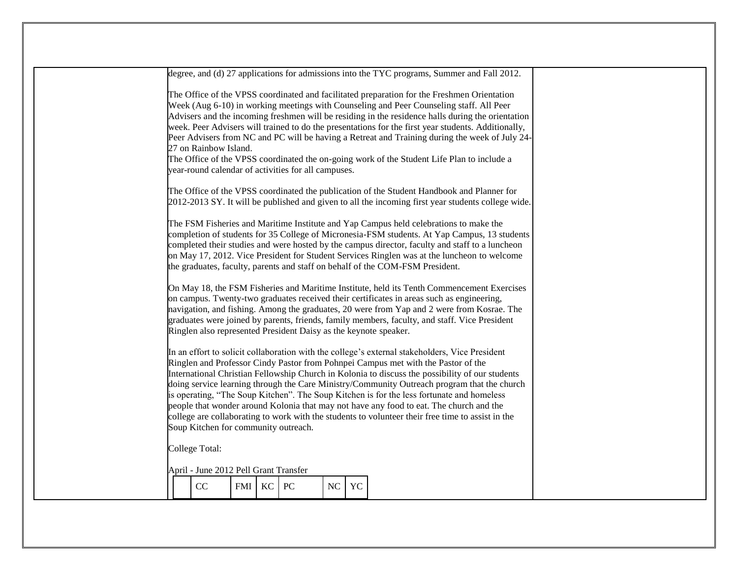|  |                                                                              |        |    |    |    | degree, and (d) 27 applications for admissions into the TYC programs, Summer and Fall 2012.                                                                                                                                                                                                                                                                                                                                                                                                                                                                                                                                                                                        |  |
|--|------------------------------------------------------------------------------|--------|----|----|----|------------------------------------------------------------------------------------------------------------------------------------------------------------------------------------------------------------------------------------------------------------------------------------------------------------------------------------------------------------------------------------------------------------------------------------------------------------------------------------------------------------------------------------------------------------------------------------------------------------------------------------------------------------------------------------|--|
|  | 27 on Rainbow Island.<br>year-round calendar of activities for all campuses. |        |    |    |    | The Office of the VPSS coordinated and facilitated preparation for the Freshmen Orientation<br>Week (Aug 6-10) in working meetings with Counseling and Peer Counseling staff. All Peer<br>Advisers and the incoming freshmen will be residing in the residence halls during the orientation<br>week. Peer Advisers will trained to do the presentations for the first year students. Additionally,<br>Peer Advisers from NC and PC will be having a Retreat and Training during the week of July 24-<br>The Office of the VPSS coordinated the on-going work of the Student Life Plan to include a                                                                                 |  |
|  |                                                                              |        |    |    |    | The Office of the VPSS coordinated the publication of the Student Handbook and Planner for<br>2012-2013 SY. It will be published and given to all the incoming first year students college wide.                                                                                                                                                                                                                                                                                                                                                                                                                                                                                   |  |
|  |                                                                              |        |    |    |    | The FSM Fisheries and Maritime Institute and Yap Campus held celebrations to make the<br>completion of students for 35 College of Micronesia-FSM students. At Yap Campus, 13 students<br>completed their studies and were hosted by the campus director, faculty and staff to a luncheon<br>on May 17, 2012. Vice President for Student Services Ringlen was at the luncheon to welcome<br>the graduates, faculty, parents and staff on behalf of the COM-FSM President.                                                                                                                                                                                                           |  |
|  | Ringlen also represented President Daisy as the keynote speaker.             |        |    |    |    | On May 18, the FSM Fisheries and Maritime Institute, held its Tenth Commencement Exercises<br>on campus. Twenty-two graduates received their certificates in areas such as engineering,<br>navigation, and fishing. Among the graduates, 20 were from Yap and 2 were from Kosrae. The<br>graduates were joined by parents, friends, family members, faculty, and staff. Vice President                                                                                                                                                                                                                                                                                             |  |
|  | Soup Kitchen for community outreach.                                         |        |    |    |    | In an effort to solicit collaboration with the college's external stakeholders, Vice President<br>Ringlen and Professor Cindy Pastor from Pohnpei Campus met with the Pastor of the<br>International Christian Fellowship Church in Kolonia to discuss the possibility of our students<br>doing service learning through the Care Ministry/Community Outreach program that the church<br>is operating, "The Soup Kitchen". The Soup Kitchen is for the less fortunate and homeless<br>people that wonder around Kolonia that may not have any food to eat. The church and the<br>college are collaborating to work with the students to volunteer their free time to assist in the |  |
|  | College Total:                                                               |        |    |    |    |                                                                                                                                                                                                                                                                                                                                                                                                                                                                                                                                                                                                                                                                                    |  |
|  |                                                                              |        |    |    |    |                                                                                                                                                                                                                                                                                                                                                                                                                                                                                                                                                                                                                                                                                    |  |
|  | April - June 2012 Pell Grant Transfer                                        |        |    |    |    |                                                                                                                                                                                                                                                                                                                                                                                                                                                                                                                                                                                                                                                                                    |  |
|  | CC                                                                           | FMI KC | PC | NC | YC |                                                                                                                                                                                                                                                                                                                                                                                                                                                                                                                                                                                                                                                                                    |  |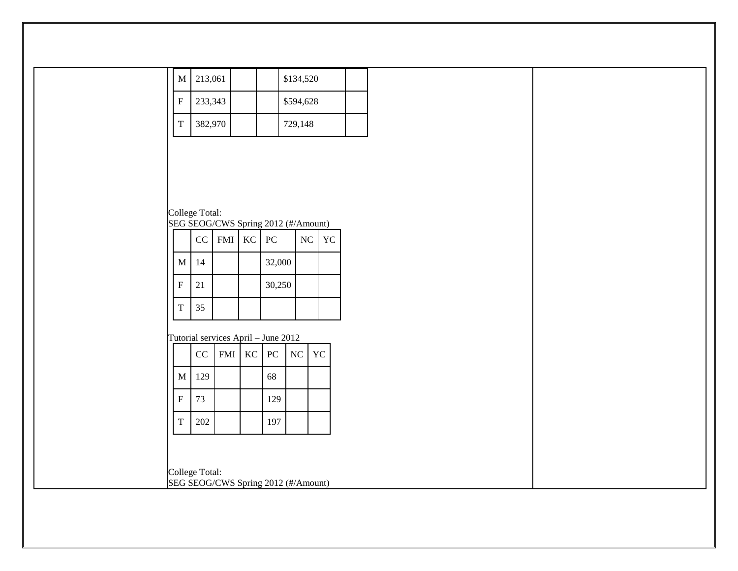| M                                                     | 213,061  |         |                 |        | \$134,520 |       |  |
|-------------------------------------------------------|----------|---------|-----------------|--------|-----------|-------|--|
| ${\bf F}$                                             |          | 233,343 |                 |        | \$594,628 |       |  |
| $\mathbf T$                                           |          | 382,970 |                 |        | 729,148   |       |  |
|                                                       |          |         |                 |        |           |       |  |
|                                                       |          |         |                 |        |           |       |  |
|                                                       |          |         |                 |        |           |       |  |
|                                                       |          |         |                 |        |           |       |  |
| College Total:<br>SEG SEOG/CWS Spring 2012 (#/Amount) |          |         |                 |        |           |       |  |
|                                                       | CC       |         | $FMI$ $KC$ $PC$ |        |           | NC YC |  |
| $\mathbf M$                                           | 14       |         |                 | 32,000 |           |       |  |
|                                                       |          |         |                 |        |           |       |  |
| $\rm F$                                               | 21       |         |                 | 30,250 |           |       |  |
| $\rm T$                                               | 35       |         |                 |        |           |       |  |
| Tutorial services April - June 2012                   |          |         |                 |        |           |       |  |
|                                                       | $\rm CC$ |         | FMI KC PC       |        | NC        | YC    |  |
| $\mathbf M$                                           | 129      |         |                 | 68     |           |       |  |
| ${\bf F}$                                             | 73       |         |                 | 129    |           |       |  |
|                                                       |          |         |                 |        |           |       |  |
| $\mathbf T$                                           | 202      |         |                 | 197    |           |       |  |
|                                                       |          |         |                 |        |           |       |  |
| College Total:                                        |          |         |                 |        |           |       |  |
| SEG SEOG/CWS Spring 2012 (#/Amount)                   |          |         |                 |        |           |       |  |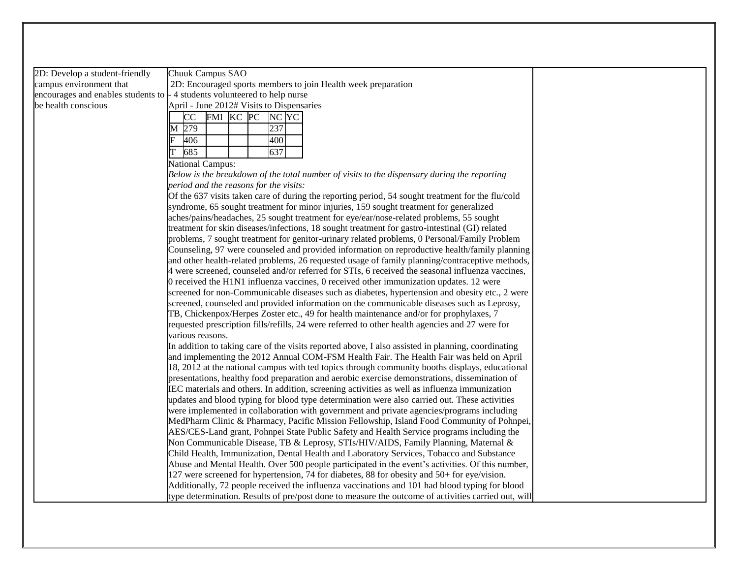2D: Develop a student-friendly campus environment that be health conscious

encourages and enables students to  $\frac{1}{4}$  students volunteered to help nurse Chuuk Campus SAO 2D: Encouraged sports members to join Health week preparation April - June 2012# Visits to Dispensaries

|    | $\Delta$ phil - Julie 2012 $\pi$ visits to Dispensa |            |       |  |       |  |  |  |
|----|-----------------------------------------------------|------------|-------|--|-------|--|--|--|
|    | CC                                                  | <b>FMI</b> | KC PC |  | NC YC |  |  |  |
|    | 279                                                 |            |       |  | 237   |  |  |  |
| F  | 406                                                 |            |       |  | 400   |  |  |  |
| lΤ | 685                                                 |            |       |  | 637   |  |  |  |

National Campus:

*Below is the breakdown of the total number of visits to the dispensary during the reporting period and the reasons for the visits:* 

Of the 637 visits taken care of during the reporting period, 54 sought treatment for the flu/cold syndrome, 65 sought treatment for minor injuries, 159 sought treatment for generalized aches/pains/headaches, 25 sought treatment for eye/ear/nose-related problems, 55 sought treatment for skin diseases/infections, 18 sought treatment for gastro-intestinal (GI) related problems, 7 sought treatment for genitor-urinary related problems, 0 Personal/Family Problem Counseling, 97 were counseled and provided information on reproductive health/family planning and other health-related problems, 26 requested usage of family planning/contraceptive methods, 4 were screened, counseled and/or referred for STIs, 6 received the seasonal influenza vaccines, 0 received the H1N1 influenza vaccines, 0 received other immunization updates. 12 were screened for non-Communicable diseases such as diabetes, hypertension and obesity etc., 2 were screened, counseled and provided information on the communicable diseases such as Leprosy, TB, Chickenpox/Herpes Zoster etc., 49 for health maintenance and/or for prophylaxes, 7 requested prescription fills/refills, 24 were referred to other health agencies and 27 were for various reasons.

In addition to taking care of the visits reported above, I also assisted in planning, coordinating and implementing the 2012 Annual COM-FSM Health Fair. The Health Fair was held on April 18, 2012 at the national campus with ted topics through community booths displays, educational presentations, healthy food preparation and aerobic exercise demonstrations, dissemination of IEC materials and others. In addition, screening activities as well as influenza immunization updates and blood typing for blood type determination were also carried out. These activities were implemented in collaboration with government and private agencies/programs including MedPharm Clinic & Pharmacy, Pacific Mission Fellowship, Island Food Community of Pohnpei, AES/CES-Land grant, Pohnpei State Public Safety and Health Service programs including the Non Communicable Disease, TB & Leprosy, STIs/HIV/AIDS, Family Planning, Maternal & Child Health, Immunization, Dental Health and Laboratory Services, Tobacco and Substance Abuse and Mental Health. Over 500 people participated in the event's activities. Of this number, 127 were screened for hypertension, 74 for diabetes, 88 for obesity and 50+ for eye/vision. Additionally, 72 people received the influenza vaccinations and 101 had blood typing for blood type determination. Results of pre/post done to measure the outcome of activities carried out, will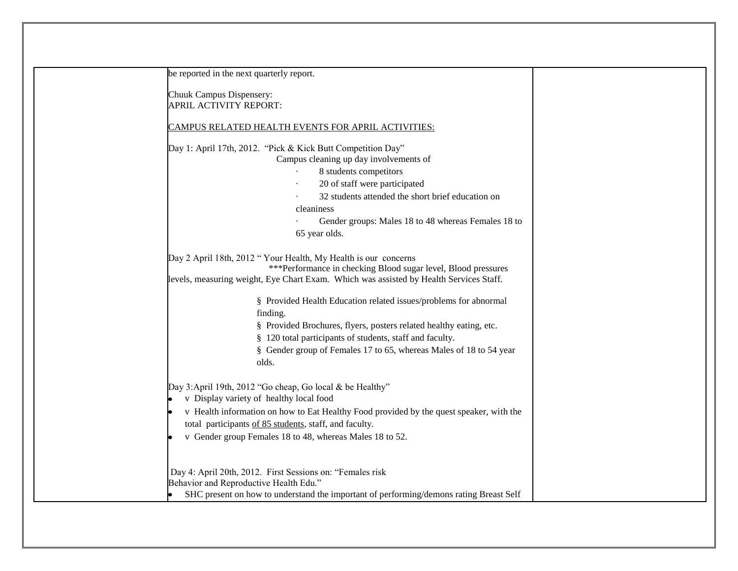| be reported in the next quarterly report.                                                                                                                                                                                                                                                                            |
|----------------------------------------------------------------------------------------------------------------------------------------------------------------------------------------------------------------------------------------------------------------------------------------------------------------------|
| Chuuk Campus Dispensery:<br>APRIL ACTIVITY REPORT:                                                                                                                                                                                                                                                                   |
| <b>CAMPUS RELATED HEALTH EVENTS FOR APRIL ACTIVITIES:</b>                                                                                                                                                                                                                                                            |
| Day 1: April 17th, 2012. "Pick & Kick Butt Competition Day"<br>Campus cleaning up day involvements of<br>8 students competitors<br>20 of staff were participated<br>32 students attended the short brief education on<br>cleaniness<br>Gender groups: Males 18 to 48 whereas Females 18 to<br>65 year olds.          |
| Day 2 April 18th, 2012 "Your Health, My Health is our concerns<br>***Performance in checking Blood sugar level, Blood pressures<br>levels, measuring weight, Eye Chart Exam. Which was assisted by Health Services Staff.                                                                                            |
| § Provided Health Education related issues/problems for abnormal<br>finding.<br>§ Provided Brochures, flyers, posters related healthy eating, etc.<br>§ 120 total participants of students, staff and faculty.<br>§ Gender group of Females 17 to 65, whereas Males of 18 to 54 year<br>olds.                        |
| Day 3:April 19th, 2012 "Go cheap, Go local & be Healthy"<br>v Display variety of healthy local food<br>v Health information on how to Eat Healthy Food provided by the quest speaker, with the<br>total participants of 85 students, staff, and faculty.<br>v Gender group Females 18 to 48, whereas Males 18 to 52. |
| Day 4: April 20th, 2012. First Sessions on: "Females risk<br>Behavior and Reproductive Health Edu."<br>SHC present on how to understand the important of performing/demons rating Breast Self                                                                                                                        |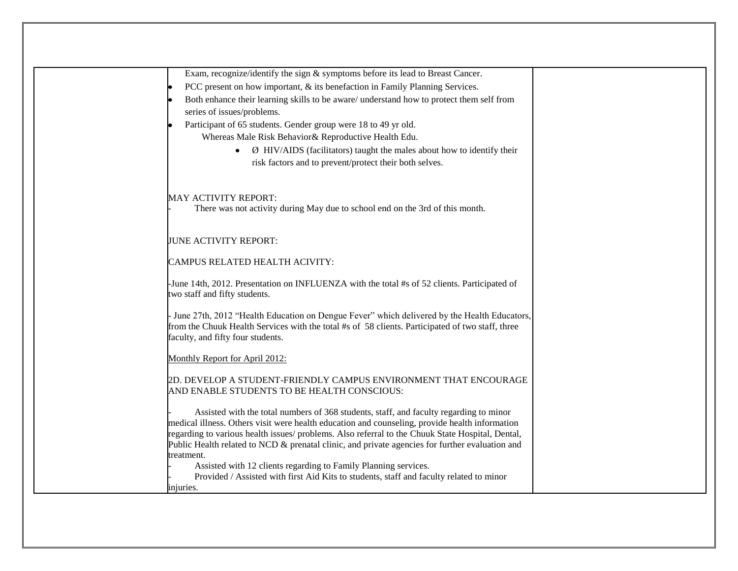| Exam, recognize/identify the sign & symptoms before its lead to Breast Cancer.                                                        |  |
|---------------------------------------------------------------------------------------------------------------------------------------|--|
| PCC present on how important, & its benefaction in Family Planning Services.                                                          |  |
| Both enhance their learning skills to be aware/ understand how to protect them self from                                              |  |
| series of issues/problems.                                                                                                            |  |
| Participant of 65 students. Gender group were 18 to 49 yr old.                                                                        |  |
| Whereas Male Risk Behavior& Reproductive Health Edu.                                                                                  |  |
| $\emptyset$ HIV/AIDS (facilitators) taught the males about how to identify their<br>$\bullet$                                         |  |
| risk factors and to prevent/protect their both selves.                                                                                |  |
|                                                                                                                                       |  |
|                                                                                                                                       |  |
| <b>MAY ACTIVITY REPORT:</b>                                                                                                           |  |
| There was not activity during May due to school end on the 3rd of this month.                                                         |  |
|                                                                                                                                       |  |
| JUNE ACTIVITY REPORT:                                                                                                                 |  |
|                                                                                                                                       |  |
| <b>CAMPUS RELATED HEALTH ACIVITY:</b>                                                                                                 |  |
| -June 14th, 2012. Presentation on INFLUENZA with the total #s of 52 clients. Participated of                                          |  |
| two staff and fifty students.                                                                                                         |  |
|                                                                                                                                       |  |
| June 27th, 2012 "Health Education on Dengue Fever" which delivered by the Health Educators,                                           |  |
| from the Chuuk Health Services with the total #s of 58 clients. Participated of two staff, three<br>faculty, and fifty four students. |  |
|                                                                                                                                       |  |
| Monthly Report for April 2012:                                                                                                        |  |
|                                                                                                                                       |  |
| 2D. DEVELOP A STUDENT-FRIENDLY CAMPUS ENVIRONMENT THAT ENCOURAGE<br>AND ENABLE STUDENTS TO BE HEALTH CONSCIOUS:                       |  |
|                                                                                                                                       |  |
| Assisted with the total numbers of 368 students, staff, and faculty regarding to minor                                                |  |
| medical illness. Others visit were health education and counseling, provide health information                                        |  |
| regarding to various health issues/ problems. Also referral to the Chuuk State Hospital, Dental,                                      |  |
| Public Health related to NCD & prenatal clinic, and private agencies for further evaluation and                                       |  |
| treatment.<br>Assisted with 12 clients regarding to Family Planning services.                                                         |  |
| Provided / Assisted with first Aid Kits to students, staff and faculty related to minor                                               |  |
| injuries.                                                                                                                             |  |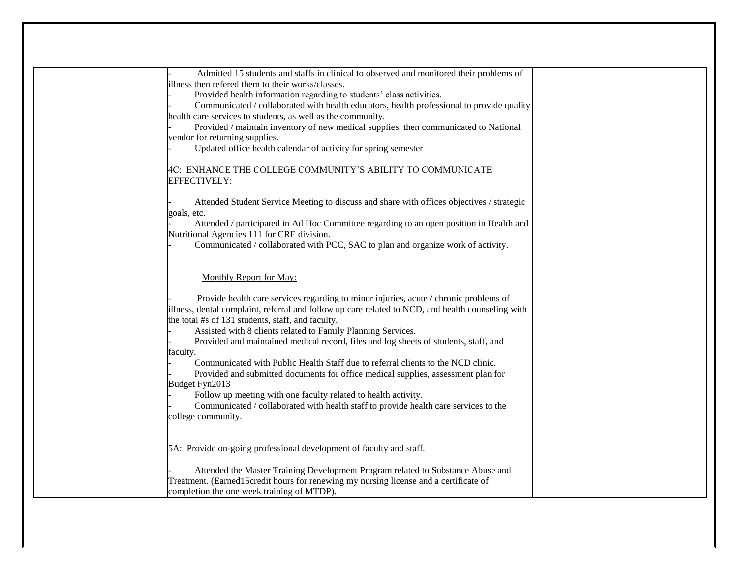| Admitted 15 students and staffs in clinical to observed and monitored their problems of<br>illness then refered them to their works/classes.<br>Provided health information regarding to students' class activities.<br>Communicated / collaborated with health educators, health professional to provide quality<br>health care services to students, as well as the community.<br>Provided / maintain inventory of new medical supplies, then communicated to National<br>vendor for returning supplies.<br>Updated office health calendar of activity for spring semester<br>4C: ENHANCE THE COLLEGE COMMUNITY'S ABILITY TO COMMUNICATE                                                                                                                                                                                |
|---------------------------------------------------------------------------------------------------------------------------------------------------------------------------------------------------------------------------------------------------------------------------------------------------------------------------------------------------------------------------------------------------------------------------------------------------------------------------------------------------------------------------------------------------------------------------------------------------------------------------------------------------------------------------------------------------------------------------------------------------------------------------------------------------------------------------|
| EFFECTIVELY:<br>Attended Student Service Meeting to discuss and share with offices objectives / strategic<br>goals, etc.<br>Attended / participated in Ad Hoc Committee regarding to an open position in Health and<br>Nutritional Agencies 111 for CRE division.<br>Communicated / collaborated with PCC, SAC to plan and organize work of activity.                                                                                                                                                                                                                                                                                                                                                                                                                                                                     |
| Monthly Report for May:<br>Provide health care services regarding to minor injuries, acute / chronic problems of<br>illness, dental complaint, referral and follow up care related to NCD, and health counseling with<br>the total #s of 131 students, staff, and faculty.<br>Assisted with 8 clients related to Family Planning Services.<br>Provided and maintained medical record, files and log sheets of students, staff, and<br>faculty.<br>Communicated with Public Health Staff due to referral clients to the NCD clinic.<br>Provided and submitted documents for office medical supplies, assessment plan for<br>Budget Fyn2013<br>Follow up meeting with one faculty related to health activity.<br>Communicated / collaborated with health staff to provide health care services to the<br>college community. |
| 5A: Provide on-going professional development of faculty and staff.<br>Attended the Master Training Development Program related to Substance Abuse and<br>Treatment. (Earned15credit hours for renewing my nursing license and a certificate of<br>completion the one week training of MTDP).                                                                                                                                                                                                                                                                                                                                                                                                                                                                                                                             |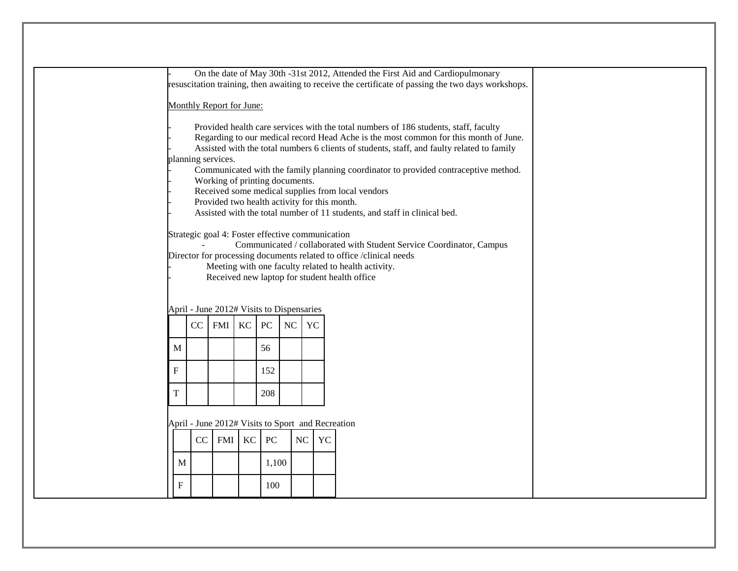| On the date of May 30th -31st 2012, Attended the First Aid and Cardiopulmonary |                                                                                                     |                                                  |                  |                  |                                                                                                                                                                                    |           |                                                                                     |
|--------------------------------------------------------------------------------|-----------------------------------------------------------------------------------------------------|--------------------------------------------------|------------------|------------------|------------------------------------------------------------------------------------------------------------------------------------------------------------------------------------|-----------|-------------------------------------------------------------------------------------|
|                                                                                | resuscitation training, then awaiting to receive the certificate of passing the two days workshops. |                                                  |                  |                  |                                                                                                                                                                                    |           |                                                                                     |
|                                                                                | Monthly Report for June:                                                                            |                                                  |                  |                  |                                                                                                                                                                                    |           |                                                                                     |
|                                                                                |                                                                                                     |                                                  |                  |                  |                                                                                                                                                                                    |           |                                                                                     |
|                                                                                |                                                                                                     |                                                  |                  |                  |                                                                                                                                                                                    |           |                                                                                     |
|                                                                                |                                                                                                     |                                                  |                  |                  | Provided health care services with the total numbers of 186 students, staff, faculty                                                                                               |           |                                                                                     |
|                                                                                |                                                                                                     |                                                  |                  |                  | Regarding to our medical record Head Ache is the most common for this month of June.<br>Assisted with the total numbers 6 clients of students, staff, and faulty related to family |           |                                                                                     |
|                                                                                |                                                                                                     | planning services.                               |                  |                  |                                                                                                                                                                                    |           |                                                                                     |
|                                                                                |                                                                                                     |                                                  |                  |                  |                                                                                                                                                                                    |           | Communicated with the family planning coordinator to provided contraceptive method. |
|                                                                                |                                                                                                     | Working of printing documents.                   |                  |                  |                                                                                                                                                                                    |           |                                                                                     |
|                                                                                |                                                                                                     |                                                  |                  |                  |                                                                                                                                                                                    |           | Received some medical supplies from local vendors                                   |
|                                                                                |                                                                                                     |                                                  |                  |                  |                                                                                                                                                                                    |           | Provided two health activity for this month.                                        |
|                                                                                |                                                                                                     |                                                  |                  |                  |                                                                                                                                                                                    |           | Assisted with the total number of 11 students, and staff in clinical bed.           |
|                                                                                |                                                                                                     |                                                  |                  |                  |                                                                                                                                                                                    |           |                                                                                     |
|                                                                                |                                                                                                     | Strategic goal 4: Foster effective communication |                  |                  |                                                                                                                                                                                    |           |                                                                                     |
|                                                                                |                                                                                                     |                                                  |                  |                  |                                                                                                                                                                                    |           | Communicated / collaborated with Student Service Coordinator, Campus                |
|                                                                                |                                                                                                     |                                                  |                  |                  |                                                                                                                                                                                    |           | Director for processing documents related to office /clinical needs                 |
|                                                                                |                                                                                                     |                                                  |                  |                  |                                                                                                                                                                                    |           | Meeting with one faculty related to health activity.                                |
|                                                                                |                                                                                                     |                                                  |                  |                  |                                                                                                                                                                                    |           | Received new laptop for student health office                                       |
|                                                                                |                                                                                                     |                                                  |                  |                  |                                                                                                                                                                                    |           |                                                                                     |
|                                                                                |                                                                                                     |                                                  |                  |                  |                                                                                                                                                                                    |           |                                                                                     |
|                                                                                |                                                                                                     | April - June 2012# Visits to Dispensaries        |                  |                  |                                                                                                                                                                                    |           |                                                                                     |
|                                                                                |                                                                                                     | CC<br><b>FMI</b>                                 | KC               | PC               | NC                                                                                                                                                                                 | <b>YC</b> |                                                                                     |
|                                                                                |                                                                                                     |                                                  |                  |                  |                                                                                                                                                                                    |           |                                                                                     |
|                                                                                | M                                                                                                   |                                                  |                  | 56               |                                                                                                                                                                                    |           |                                                                                     |
|                                                                                |                                                                                                     |                                                  |                  |                  |                                                                                                                                                                                    |           |                                                                                     |
|                                                                                | $\boldsymbol{\mathrm{F}}$                                                                           |                                                  |                  | 152              |                                                                                                                                                                                    |           |                                                                                     |
|                                                                                |                                                                                                     |                                                  |                  |                  |                                                                                                                                                                                    |           |                                                                                     |
|                                                                                | $\mathbf T$                                                                                         |                                                  |                  |                  |                                                                                                                                                                                    |           |                                                                                     |
|                                                                                |                                                                                                     |                                                  |                  | 208              |                                                                                                                                                                                    |           |                                                                                     |
|                                                                                |                                                                                                     |                                                  |                  |                  |                                                                                                                                                                                    |           |                                                                                     |
| April - June 2012# Visits to Sport and Recreation                              |                                                                                                     |                                                  |                  |                  |                                                                                                                                                                                    |           |                                                                                     |
|                                                                                |                                                                                                     |                                                  |                  |                  |                                                                                                                                                                                    |           |                                                                                     |
|                                                                                |                                                                                                     | CC                                               | KC<br><b>FMI</b> | ${\rm P}{\bf C}$ |                                                                                                                                                                                    | NC        | YC                                                                                  |
|                                                                                |                                                                                                     |                                                  |                  |                  |                                                                                                                                                                                    |           |                                                                                     |
|                                                                                | M                                                                                                   |                                                  |                  | 1,100            |                                                                                                                                                                                    |           |                                                                                     |
|                                                                                |                                                                                                     |                                                  |                  |                  |                                                                                                                                                                                    |           |                                                                                     |
|                                                                                | $\boldsymbol{\mathrm{F}}$                                                                           |                                                  |                  | 100              |                                                                                                                                                                                    |           |                                                                                     |
|                                                                                |                                                                                                     |                                                  |                  |                  |                                                                                                                                                                                    |           |                                                                                     |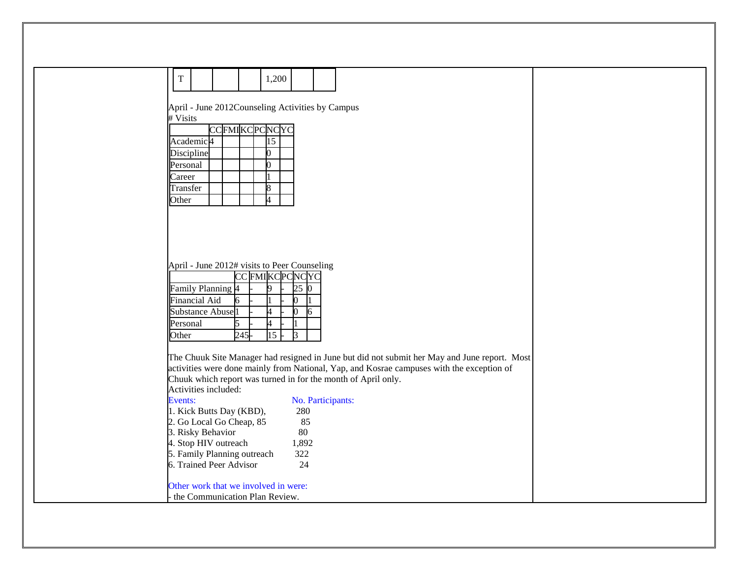| T                                         | 1,200                                                                                                                                                      |
|-------------------------------------------|------------------------------------------------------------------------------------------------------------------------------------------------------------|
|                                           |                                                                                                                                                            |
| # Visits                                  | April - June 2012Counseling Activities by Campus                                                                                                           |
|                                           | <b>CCFMIKCPCNCYC</b>                                                                                                                                       |
| Academic <sup>4</sup>                     | $\overline{15}$                                                                                                                                            |
| Discipline<br>Personal                    |                                                                                                                                                            |
| Career                                    |                                                                                                                                                            |
| Transfer                                  |                                                                                                                                                            |
| Other                                     |                                                                                                                                                            |
|                                           |                                                                                                                                                            |
|                                           |                                                                                                                                                            |
|                                           |                                                                                                                                                            |
|                                           | April - June 2012# visits to Peer Counseling                                                                                                               |
|                                           | CC FMIKCPCNCYC<br>9                                                                                                                                        |
| Family Planning 4<br><b>Financial Aid</b> | 25<br>IO.<br>6<br>0                                                                                                                                        |
| <b>Substance Abuse</b>                    | 0<br>4<br>6                                                                                                                                                |
| Personal                                  | 5<br>4                                                                                                                                                     |
| Other                                     | $\overline{15}$<br>245<br>3                                                                                                                                |
|                                           | The Chuuk Site Manager had resigned in June but did not submit her May and June report. Most                                                               |
|                                           | activities were done mainly from National, Yap, and Kosrae campuses with the exception of<br>Chuuk which report was turned in for the month of April only. |
|                                           | Activities included:                                                                                                                                       |
| Events:                                   | No. Participants:                                                                                                                                          |
|                                           | 1. Kick Butts Day (KBD),<br>280<br>2. Go Local Go Cheap, 85<br>85                                                                                          |
| 3. Risky Behavior                         | 80                                                                                                                                                         |
|                                           | 4. Stop HIV outreach<br>1,892<br>5. Family Planning outreach<br>322                                                                                        |
|                                           | 6. Trained Peer Advisor<br>24                                                                                                                              |
|                                           | Other work that we involved in were:                                                                                                                       |
|                                           | the Communication Plan Review.                                                                                                                             |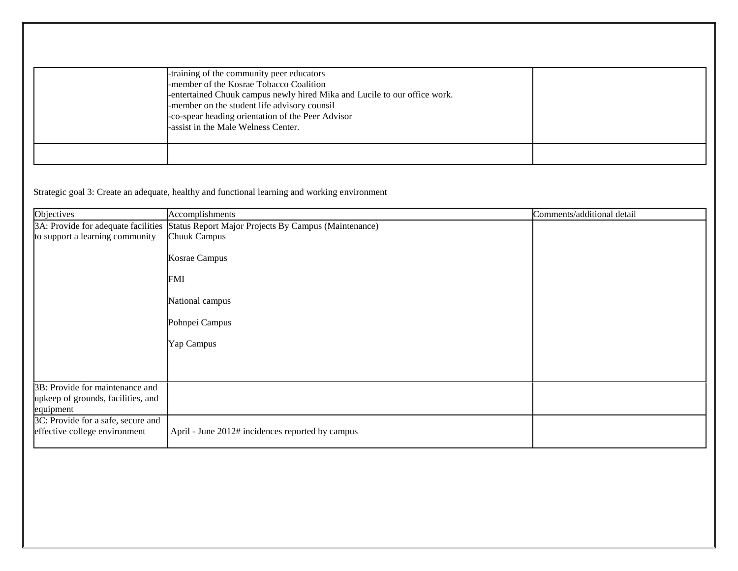| -training of the community peer educators<br>-member of the Kosrae Tobacco Coalition<br>-entertained Chuuk campus newly hired Mika and Lucile to our office work.<br>-member on the student life advisory counsil<br>-co-spear heading orientation of the Peer Advisor<br>-assist in the Male Welness Center. |  |
|---------------------------------------------------------------------------------------------------------------------------------------------------------------------------------------------------------------------------------------------------------------------------------------------------------------|--|
|                                                                                                                                                                                                                                                                                                               |  |

Strategic goal 3: Create an adequate, healthy and functional learning and working environment

| Objectives                                                          | Accomplishments                                      | Comments/additional detail |
|---------------------------------------------------------------------|------------------------------------------------------|----------------------------|
| 3A: Provide for adequate facilities                                 | Status Report Major Projects By Campus (Maintenance) |                            |
| to support a learning community                                     | <b>Chuuk Campus</b>                                  |                            |
|                                                                     | Kosrae Campus                                        |                            |
|                                                                     | FMI                                                  |                            |
|                                                                     | National campus                                      |                            |
|                                                                     | Pohnpei Campus                                       |                            |
|                                                                     | Yap Campus                                           |                            |
|                                                                     |                                                      |                            |
| 3B: Provide for maintenance and                                     |                                                      |                            |
| upkeep of grounds, facilities, and                                  |                                                      |                            |
| equipment                                                           |                                                      |                            |
| 3C: Provide for a safe, secure and<br>effective college environment | April - June 2012# incidences reported by campus     |                            |
|                                                                     |                                                      |                            |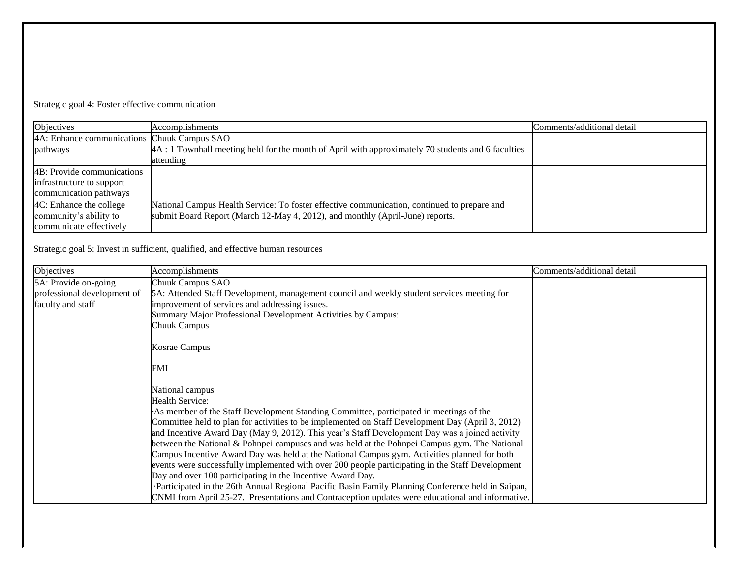Strategic goal 4: Foster effective communication

| Objectives                                  | Accomplishments                                                                                   | Comments/additional detail |
|---------------------------------------------|---------------------------------------------------------------------------------------------------|----------------------------|
| 4A: Enhance communications Chuuk Campus SAO |                                                                                                   |                            |
| pathways                                    | 4A: 1 Townhall meeting held for the month of April with approximately 70 students and 6 faculties |                            |
|                                             | attending                                                                                         |                            |
| 4B: Provide communications                  |                                                                                                   |                            |
| infrastructure to support                   |                                                                                                   |                            |
| communication pathways                      |                                                                                                   |                            |
| 4C: Enhance the college                     | National Campus Health Service: To foster effective communication, continued to prepare and       |                            |
| community's ability to                      | submit Board Report (March 12-May 4, 2012), and monthly (April-June) reports.                     |                            |
| communicate effectively                     |                                                                                                   |                            |

Strategic goal 5: Invest in sufficient, qualified, and effective human resources

| Objectives                  | Accomplishments                                                                                   | Comments/additional detail |
|-----------------------------|---------------------------------------------------------------------------------------------------|----------------------------|
| 5A: Provide on-going        | Chuuk Campus SAO                                                                                  |                            |
| professional development of | 5A: Attended Staff Development, management council and weekly student services meeting for        |                            |
| faculty and staff           | improvement of services and addressing issues.                                                    |                            |
|                             | Summary Major Professional Development Activities by Campus:                                      |                            |
|                             | Chuuk Campus                                                                                      |                            |
|                             | Kosrae Campus                                                                                     |                            |
|                             | FMI                                                                                               |                            |
|                             | National campus                                                                                   |                            |
|                             | Health Service:                                                                                   |                            |
|                             | As member of the Staff Development Standing Committee, participated in meetings of the            |                            |
|                             | Committee held to plan for activities to be implemented on Staff Development Day (April 3, 2012)  |                            |
|                             | and Incentive Award Day (May 9, 2012). This year's Staff Development Day was a joined activity    |                            |
|                             | between the National & Pohnpei campuses and was held at the Pohnpei Campus gym. The National      |                            |
|                             | Campus Incentive Award Day was held at the National Campus gym. Activities planned for both       |                            |
|                             | events were successfully implemented with over 200 people participating in the Staff Development  |                            |
|                             | Day and over 100 participating in the Incentive Award Day.                                        |                            |
|                             | Participated in the 26th Annual Regional Pacific Basin Family Planning Conference held in Saipan, |                            |
|                             | CNMI from April 25-27. Presentations and Contraception updates were educational and informative.  |                            |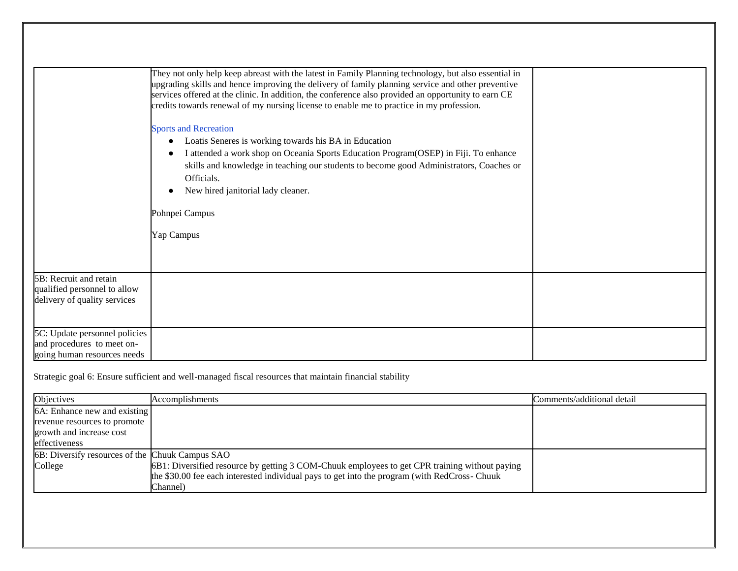|                                                                                            | They not only help keep abreast with the latest in Family Planning technology, but also essential in<br>upgrading skills and hence improving the delivery of family planning service and other preventive<br>services offered at the clinic. In addition, the conference also provided an opportunity to earn CE<br>credits towards renewal of my nursing license to enable me to practice in my profession. |  |
|--------------------------------------------------------------------------------------------|--------------------------------------------------------------------------------------------------------------------------------------------------------------------------------------------------------------------------------------------------------------------------------------------------------------------------------------------------------------------------------------------------------------|--|
|                                                                                            | <b>Sports and Recreation</b><br>Loatis Seneres is working towards his BA in Education<br>$\bullet$<br>I attended a work shop on Oceania Sports Education Program (OSEP) in Fiji. To enhance<br>skills and knowledge in teaching our students to become good Administrators, Coaches or<br>Officials.<br>New hired janitorial lady cleaner.                                                                   |  |
|                                                                                            | Pohnpei Campus                                                                                                                                                                                                                                                                                                                                                                                               |  |
|                                                                                            | Yap Campus                                                                                                                                                                                                                                                                                                                                                                                                   |  |
| 5B: Recruit and retain<br>qualified personnel to allow<br>delivery of quality services     |                                                                                                                                                                                                                                                                                                                                                                                                              |  |
| 5C: Update personnel policies<br>and procedures to meet on-<br>going human resources needs |                                                                                                                                                                                                                                                                                                                                                                                                              |  |

Strategic goal 6: Ensure sufficient and well-managed fiscal resources that maintain financial stability

| Objectives                                      | Accomplishments                                                                               | Comments/additional detail |
|-------------------------------------------------|-----------------------------------------------------------------------------------------------|----------------------------|
| 6A: Enhance new and existing                    |                                                                                               |                            |
| revenue resources to promote                    |                                                                                               |                            |
| growth and increase cost                        |                                                                                               |                            |
| effectiveness                                   |                                                                                               |                            |
| 6B: Diversify resources of the Chuuk Campus SAO |                                                                                               |                            |
| College                                         | 6B1: Diversified resource by getting 3 COM-Chuuk employees to get CPR training without paying |                            |
|                                                 | the \$30.00 fee each interested individual pays to get into the program (with RedCross-Chuuk  |                            |
|                                                 | Channel)                                                                                      |                            |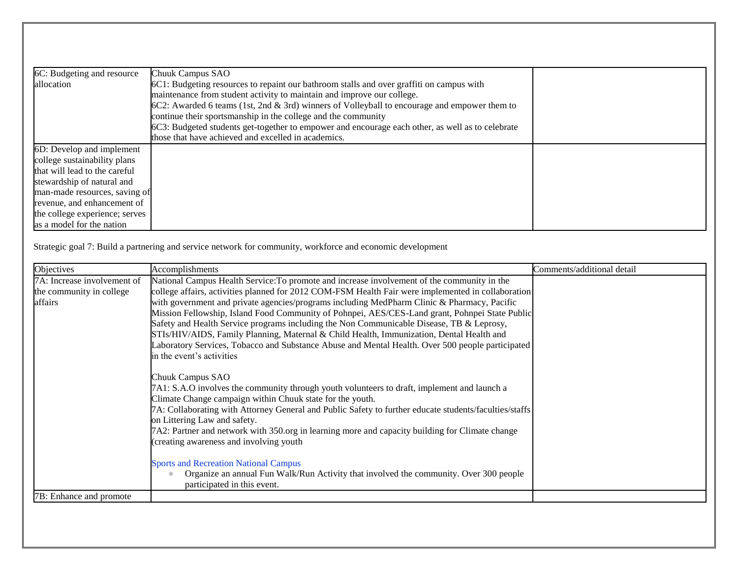| 6C: Budgeting and resource     | Chuuk Campus SAO                                                                                 |  |
|--------------------------------|--------------------------------------------------------------------------------------------------|--|
| allocation                     | 6C1: Budgeting resources to repaint our bathroom stalls and over graffiti on campus with         |  |
|                                | maintenance from student activity to maintain and improve our college.                           |  |
|                                | 6C2: Awarded 6 teams (1st, 2nd & 3rd) winners of Volleyball to encourage and empower them to     |  |
|                                | continue their sportsmanship in the college and the community                                    |  |
|                                | 6C3: Budgeted students get-together to empower and encourage each other, as well as to celebrate |  |
|                                | those that have achieved and excelled in academics.                                              |  |
| 6D: Develop and implement      |                                                                                                  |  |
| college sustainability plans   |                                                                                                  |  |
| that will lead to the careful  |                                                                                                  |  |
| stewardship of natural and     |                                                                                                  |  |
| man-made resources, saving of  |                                                                                                  |  |
| revenue, and enhancement of    |                                                                                                  |  |
| the college experience; serves |                                                                                                  |  |
| as a model for the nation      |                                                                                                  |  |

Strategic goal 7: Build a partnering and service network for community, workforce and economic development

| Objectives                                                         | Accomplishments                                                                                                                                                                                                                                                                                                                                                                                                                                                                                                                                                                                                                                                                                                             | Comments/additional detail |
|--------------------------------------------------------------------|-----------------------------------------------------------------------------------------------------------------------------------------------------------------------------------------------------------------------------------------------------------------------------------------------------------------------------------------------------------------------------------------------------------------------------------------------------------------------------------------------------------------------------------------------------------------------------------------------------------------------------------------------------------------------------------------------------------------------------|----------------------------|
| 7A: Increase involvement of<br>the community in college<br>affairs | National Campus Health Service: To promote and increase involvement of the community in the<br>college affairs, activities planned for 2012 COM-FSM Health Fair were implemented in collaboration<br>with government and private agencies/programs including MedPharm Clinic & Pharmacy, Pacific<br>Mission Fellowship, Island Food Community of Pohnpei, AES/CES-Land grant, Pohnpei State Public<br>Safety and Health Service programs including the Non Communicable Disease, TB & Leprosy,<br>STIs/HIV/AIDS, Family Planning, Maternal & Child Health, Immunization, Dental Health and<br>Laboratory Services, Tobacco and Substance Abuse and Mental Health. Over 500 people participated<br>in the event's activities |                            |
|                                                                    | Chuuk Campus SAO<br>7A1: S.A.O involves the community through youth volunteers to draft, implement and launch a<br>Climate Change campaign within Chuuk state for the youth.<br>7A: Collaborating with Attorney General and Public Safety to further educate students/faculties/staffs<br>on Littering Law and safety.<br>7A2: Partner and network with 350.org in learning more and capacity building for Climate change<br>(creating awareness and involving youth                                                                                                                                                                                                                                                        |                            |
|                                                                    | <b>Sports and Recreation National Campus</b><br>Organize an annual Fun Walk/Run Activity that involved the community. Over 300 people<br>participated in this event.                                                                                                                                                                                                                                                                                                                                                                                                                                                                                                                                                        |                            |
| 7B: Enhance and promote                                            |                                                                                                                                                                                                                                                                                                                                                                                                                                                                                                                                                                                                                                                                                                                             |                            |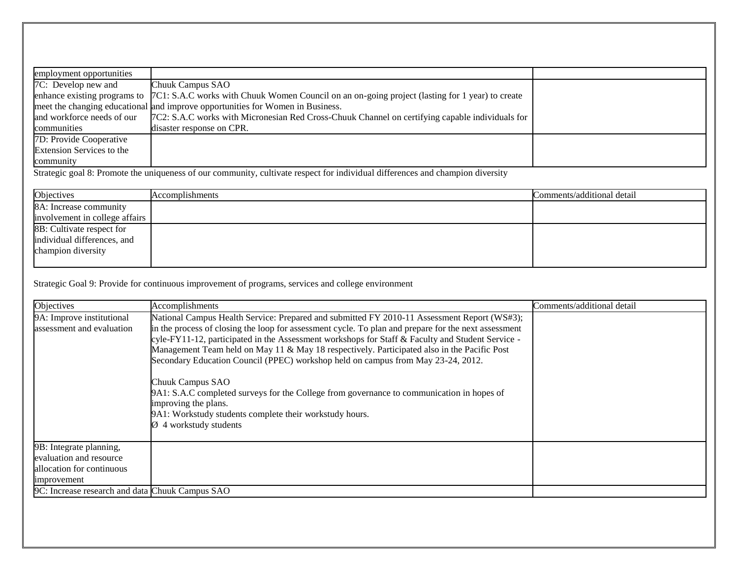| employment opportunities   |                                                                                                                                 |  |
|----------------------------|---------------------------------------------------------------------------------------------------------------------------------|--|
| 7C: Develop new and        | Chuuk Campus SAO                                                                                                                |  |
|                            | enhance existing programs to $[7C1: S.A.C$ works with Chuuk Women Council on an on-going project (lasting for 1 year) to create |  |
|                            | meet the changing educational and improve opportunities for Women in Business.                                                  |  |
| and workforce needs of our | 7C2: S.A.C works with Micronesian Red Cross-Chuuk Channel on certifying capable individuals for                                 |  |
| communities                | disaster response on CPR.                                                                                                       |  |
| 7D: Provide Cooperative    |                                                                                                                                 |  |
| Extension Services to the  |                                                                                                                                 |  |
| community                  |                                                                                                                                 |  |

Strategic goal 8: Promote the uniqueness of our community, cultivate respect for individual differences and champion diversity

| Objectives                     | Accomplishments | Comments/additional detail |
|--------------------------------|-----------------|----------------------------|
| 8A: Increase community         |                 |                            |
| involvement in college affairs |                 |                            |
| 8B: Cultivate respect for      |                 |                            |
| individual differences, and    |                 |                            |
| champion diversity             |                 |                            |
|                                |                 |                            |

Strategic Goal 9: Provide for continuous improvement of programs, services and college environment

| Objectives                                                                                                                                        | Accomplishments                                                                                                                                                                                                                                                                                                                                                                                                                                                                                                                                                                                                                                                                                                                      | Comments/additional detail |
|---------------------------------------------------------------------------------------------------------------------------------------------------|--------------------------------------------------------------------------------------------------------------------------------------------------------------------------------------------------------------------------------------------------------------------------------------------------------------------------------------------------------------------------------------------------------------------------------------------------------------------------------------------------------------------------------------------------------------------------------------------------------------------------------------------------------------------------------------------------------------------------------------|----------------------------|
| 9A: Improve institutional<br>assessment and evaluation                                                                                            | National Campus Health Service: Prepared and submitted FY 2010-11 Assessment Report (WS#3);<br>in the process of closing the loop for assessment cycle. To plan and prepare for the next assessment<br>cyle-FY11-12, participated in the Assessment workshops for Staff & Faculty and Student Service -<br>Management Team held on May 11 & May 18 respectively. Participated also in the Pacific Post<br>Secondary Education Council (PPEC) workshop held on campus from May 23-24, 2012.<br>Chuuk Campus SAO<br>9A1: S.A.C completed surveys for the College from governance to communication in hopes of<br>improving the plans.<br>9A1: Workstudy students complete their workstudy hours.<br>$\varnothing$ 4 workstudy students |                            |
| 9B: Integrate planning,<br>evaluation and resource<br>allocation for continuous<br>improvement<br>9C: Increase research and data Chuuk Campus SAO |                                                                                                                                                                                                                                                                                                                                                                                                                                                                                                                                                                                                                                                                                                                                      |                            |